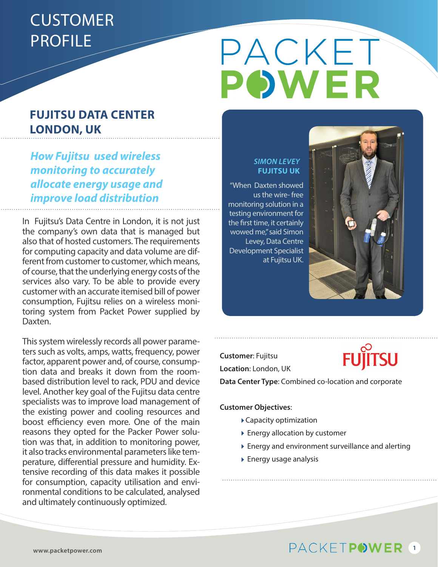## **CUSTOMER** PROFILE

#### **FUJITSU DATA CENTER LONDON, UK**

*How Fujitsu used wireless monitoring to accurately allocate energy usage and improve load distribution*

In Fujitsu's Data Centre in London, it is not just the company's own data that is managed but also that of hosted customers. The requirements for computing capacity and data volume are different from customer to customer, which means, of course, that the underlying energy costs of the services also vary. To be able to provide every customer with an accurate itemised bill of power consumption, Fujitsu relies on a wireless monitoring system from Packet Power supplied by Daxten.

This system wirelessly records all power parameters such as volts, amps, watts, frequency, power factor, apparent power and, of course, consumption data and breaks it down from the roombased distribution level to rack, PDU and device level. Another key goal of the Fujitsu data centre specialists was to improve load management of the existing power and cooling resources and boost efficiency even more. One of the main reasons they opted for the Packer Power solution was that, in addition to monitoring power, it also tracks environmental parameters like temperature, differential pressure and humidity. Extensive recording of this data makes it possible for consumption, capacity utilisation and environmental conditions to be calculated, analysed and ultimately continuously optimized.

# PACKET

#### *SIMON LEVEY* **FUJITSU UK**

"When Daxten showed us the wire- free monitoring solution in a testing environment for the first time, it certainly wowed me," said Simon Levey, Data Centre Development Specialist at Fujitsu UK.



**Customer**: Fujitsu **Location**: London, UK



**Data Center Type**: Combined co-location and corporate

**Customer Objectives**:

- Capacity optimization
- Energy allocation by customer
- Energy and environment surveillance and alerting
- Energy usage analysis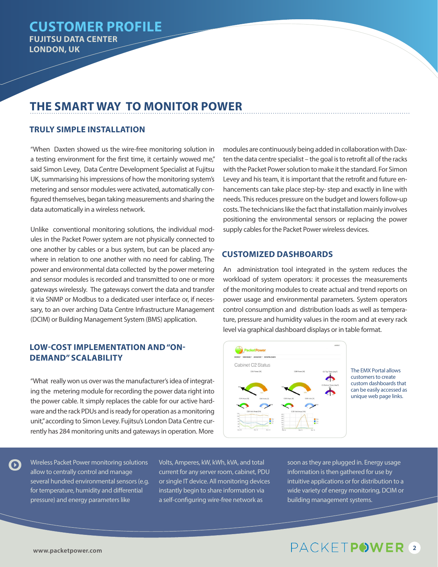#### **THE SMART WAY TO MONITOR POWER**

#### **TRULY SIMPLE INSTALLATION**

"When Daxten showed us the wire-free monitoring solution in a testing environment for the first time, it certainly wowed me," said Simon Levey, Data Centre Development Specialist at Fujitsu UK, summarising his impressions of how the monitoring system's metering and sensor modules were activated, automatically configured themselves, began taking measurements and sharing the data automatically in a wireless network.

Unlike conventional monitoring solutions, the individual modules in the Packet Power system are not physically connected to one another by cables or a bus system, but can be placed anywhere in relation to one another with no need for cabling. The power and environmental data collected by the power metering and sensor modules is recorded and transmitted to one or more gateways wirelessly. The gateways convert the data and transfer it via SNMP or Modbus to a dedicated user interface or, if necessary, to an over arching Data Centre Infrastructure Management (DCIM) or Building Management System (BMS) application.

#### **LOW-COST IMPLEMENTATION AND "ON-DEMAND" SCALABILITY**

"What really won us over was the manufacturer's idea of integrating the metering module for recording the power data right into the power cable. It simply replaces the cable for our active hardware and the rack PDUs and is ready for operation as a monitoring unit," according to Simon Levey. Fujitsu's London Data Centre currently has 284 monitoring units and gateways in operation. More

modules are continuously being added in collaboration with Daxten the data centre specialist – the goal is to retrofit all of the racks with the Packet Power solution to make it the standard. For Simon Levey and his team, it is important that the retrofit and future enhancements can take place step-by- step and exactly in line with needs. This reduces pressure on the budget and lowers follow-up costs. The technicians like the fact that installation mainly involves positioning the environmental sensors or replacing the power supply cables for the Packet Power wireless devices.

#### **CUSTOMIZED DASHBOARDS**

An administration tool integrated in the system reduces the workload of system operators: it processes the measurements of the monitoring modules to create actual and trend reports on power usage and environmental parameters. System operators control consumption and distribution loads as well as temperature, pressure and humidity values in the room and at every rack level via graphical dashboard displays or in table format.



The EMX Portal allows customers to create custom dashboards that can be easily accessed as unique web page links.

Wireless Packet Power monitoring solutions allow to centrally control and manage several hundred environmental sensors (e.g. for temperature, humidity and differential pressure) and energy parameters like

Volts, Amperes, kW, kWh, kVA, and total current for any server room, cabinet, PDU or single IT device. All monitoring devices instantly begin to share information via a self-configuring wire-free network as

soon as they are plugged in. Energy usage information is then gathered for use by intuitive applications or for distribution to a wide variety of energy monitoring, DCIM or building management systems.

### PACKETPOWER<sup>2</sup>

 $\mathbf \Omega$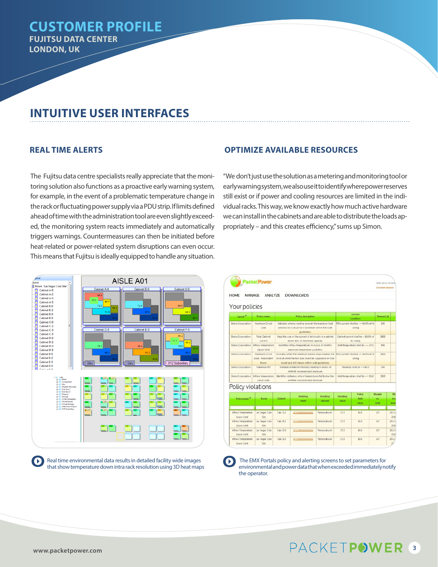#### **CUSTOMER PROFILE FUJITSU DATA CENTER LONDON, UK**

#### **INTUITIVE USER INTERFACES**

The Fujitsu data centre specialists really appreciate that the monitoring solution also functions as a proactive early warning system, for example, in the event of a problematic temperature change in the rack or fluctuating power supply via a PDU strip. If limits defined ahead of time with the administration tool are even slightly exceeded, the monitoring system reacts immediately and automatically triggers warnings. Countermeasures can then be initiated before heat-related or power-related system disruptions can even occur. This means that Fujitsu is ideally equipped to handle any situation.



Real time environmental data results in detailed facility wide images that show temperature down intra rack resolution using 3D heat maps

#### **REAL TIME ALERTS OPTIMIZE AVAILABLE RESOURCES**

"We don't just use the solution as a metering and monitoring tool or early warning system, we also use it to identify where power reserves still exist or if power and cooling resources are limited in the individual racks. This way, we know exactly how much active hardware we can install in the cabinets and are able to distribute the loads appropriately – and this creates efficiency," sums up Simon.

| <b>Packet Power</b>               |                                                            |                                                                                                                                                                    |                                                                                       |                     |                                                   |                          |                    | Hello steve vantasse<br><b>Erancaisa Espanol</b> |  |
|-----------------------------------|------------------------------------------------------------|--------------------------------------------------------------------------------------------------------------------------------------------------------------------|---------------------------------------------------------------------------------------|---------------------|---------------------------------------------------|--------------------------|--------------------|--------------------------------------------------|--|
| <b>HOME</b><br>Your policies      | <b>MANAGE</b><br><b>ANALYZE</b>                            |                                                                                                                                                                    | <b>DOWNLOADS</b>                                                                      |                     |                                                   |                          |                    |                                                  |  |
| Lavout <sup>12</sup>              | <b>Policy name</b>                                         | <b>Policy description</b>                                                                                                                                          |                                                                                       |                     | Desired<br>condition                              |                          | <b>Timeout</b> [s] |                                                  |  |
| Demo Corporation                  | <b>Maximum Circuit</b><br>Load                             | Indicates when a reading exceeds the maximum load<br>allowed on a circuit for it to remain within the code<br>quidelines.                                          |                                                                                       |                     | PDU current shall be <= 80.0% of its<br>rating    |                          | 300                |                                                  |  |
| Demo Corporation                  | <b>Total Cabinet</b><br>Current                            | Keep the sum of the current of all drouits in a cabinet.<br>below 80% of their total capacity.                                                                     |                                                                                       |                     | Cabinet current shall be < 80.0% of<br>Its rating |                          | 3600               |                                                  |  |
| Demo Corporation                  | Inflow Temperature<br>Upper Limit                          | Identifies inflow temperatures in excess of ASHRAE<br>maximum temperature quideline.                                                                               |                                                                                       |                     | Inlet temperature shall be <= 27.0                |                          | 900                |                                                  |  |
| Demo Corporation                  | <b>Maximum Circuit</b><br>Load - Redundant<br><b>Power</b> | Incicates when the maximum load in Amps exceeds the<br>level at which the full load could be supported on that<br>circuit and still remain within code quidelines. |                                                                                       |                     | PDU current shall be <= 40.0% of its<br>rating    |                          | 3600               |                                                  |  |
| Demo Corporation                  | Maximum RH                                                 | Indicates a Relative Humidity reading in excess of<br>ASHRAF recommended maximum.                                                                                  |                                                                                       |                     | Humidity shall be <= 60.0                         | 300                      |                    |                                                  |  |
| Demo Comporation                  | Inflow Temperature<br>Lower Linit                          |                                                                                                                                                                    | Identifies instances where temperatures fall below the<br>ASHRAE recommended minimum. |                     | Inlet temperature shall be > = 18.0               | 3600                     |                    |                                                  |  |
| Policy violations                 |                                                            |                                                                                                                                                                    |                                                                                       |                     |                                                   |                          |                    |                                                  |  |
| Policy name =                     | Room                                                       |                                                                                                                                                                    | Wiolating<br>node                                                                     | Wolating<br>channel | Violating<br>value                                | Policy<br>limit<br>value | Margin             | Mo                                               |  |
|                                   |                                                            | Cabinet                                                                                                                                                            |                                                                                       |                     |                                                   |                          | Vs.<br>limit       | rece<br>viola                                    |  |
| Inflow Temperature<br>Lower Linit | Las Vegas Colo<br>Ste                                      | $Cab, \Delta, 2$                                                                                                                                                   | BC10000000000006                                                                      | Temperature3        | 17.3                                              | 18.0                     | $\Omega$           | 20124<br>23:19                                   |  |
| Inflow Temperature<br>Lower Limit | Las Vegas Colo<br>Site                                     | Cab. 8.2                                                                                                                                                           | BC10000000000006                                                                      | Temperature3        | 17.3                                              | 18.0                     | AT                 | 2012.0<br>23:19                                  |  |
| Inflow Temperature<br>Lower Limit | Las Vegas Colo<br>Ste                                      | Cab. D-2                                                                                                                                                           | 8010000000000006                                                                      | Temperature3        | 17.3                                              | 18.0                     | $\Delta$ 7         | 2012.4<br>25.19                                  |  |
| Inflow Temperature<br>Lower Limit | Las Vegas Colo<br>Site                                     | $C2$ $E1$ $E2$                                                                                                                                                     | BC10000000000006                                                                      | Temperature3        | 17.3                                              | 18.0                     | $\Omega$ .         | 20124<br>23                                      |  |

O

 The EMX Portals policy and alerting screens to set parameters for environmental and power data that when exceeded immediately notify the operator.

 $\left( \mathbf{b}\right)$